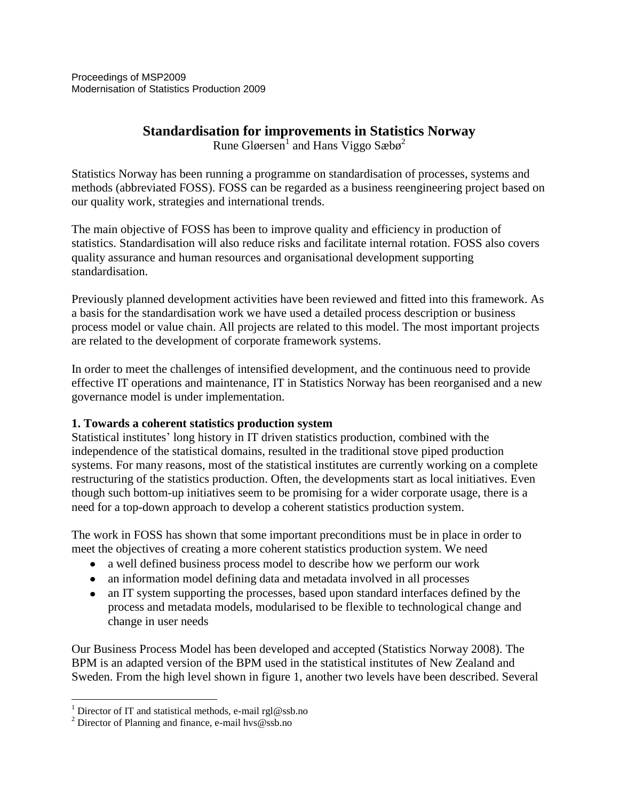# **Standardisation for improvements in Statistics Norway**

Rune Gløersen<sup>1</sup> and Hans Viggo Sæbø<sup>2</sup>

Statistics Norway has been running a programme on standardisation of processes, systems and methods (abbreviated FOSS). FOSS can be regarded as a business reengineering project based on our quality work, strategies and international trends.

The main objective of FOSS has been to improve quality and efficiency in production of statistics. Standardisation will also reduce risks and facilitate internal rotation. FOSS also covers quality assurance and human resources and organisational development supporting standardisation.

Previously planned development activities have been reviewed and fitted into this framework. As a basis for the standardisation work we have used a detailed process description or business process model or value chain. All projects are related to this model. The most important projects are related to the development of corporate framework systems.

In order to meet the challenges of intensified development, and the continuous need to provide effective IT operations and maintenance, IT in Statistics Norway has been reorganised and a new governance model is under implementation.

### **1. Towards a coherent statistics production system**

Statistical institutes' long history in IT driven statistics production, combined with the independence of the statistical domains, resulted in the traditional stove piped production systems. For many reasons, most of the statistical institutes are currently working on a complete restructuring of the statistics production. Often, the developments start as local initiatives. Even though such bottom-up initiatives seem to be promising for a wider corporate usage, there is a need for a top-down approach to develop a coherent statistics production system.

The work in FOSS has shown that some important preconditions must be in place in order to meet the objectives of creating a more coherent statistics production system. We need

- a well defined business process model to describe how we perform our work
- an information model defining data and metadata involved in all processes
- an IT system supporting the processes, based upon standard interfaces defined by the  $\bullet$ process and metadata models, modularised to be flexible to technological change and change in user needs

Our Business Process Model has been developed and accepted (Statistics Norway 2008). The BPM is an adapted version of the BPM used in the statistical institutes of New Zealand and Sweden. From the high level shown in figure 1, another two levels have been described. Several

 $\overline{a}$ 

<sup>&</sup>lt;sup>1</sup> Director of IT and statistical methods, e-mail rgl@ssb.no

<sup>&</sup>lt;sup>2</sup> Director of Planning and finance, e-mail hvs@ssb.no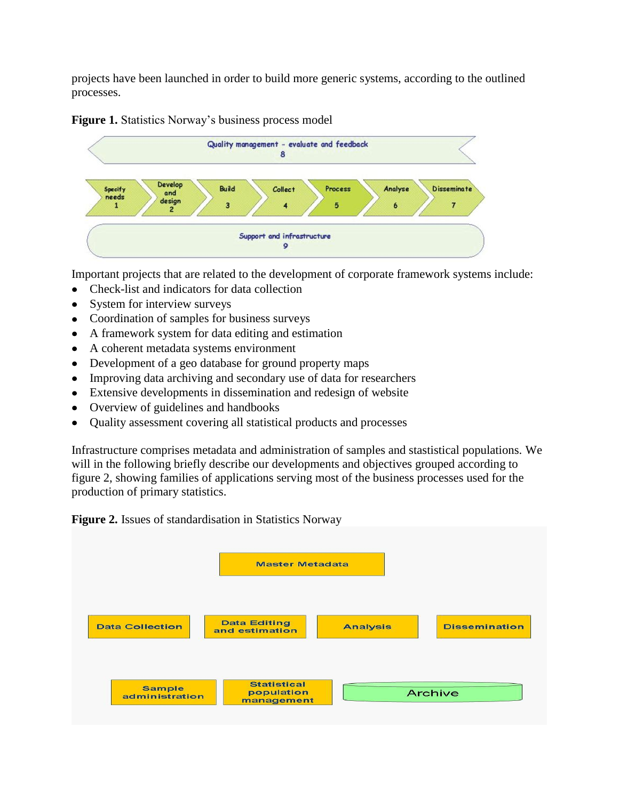projects have been launched in order to build more generic systems, according to the outlined processes.





Important projects that are related to the development of corporate framework systems include:

- Check-list and indicators for data collection
- System for interview surveys
- Coordination of samples for business surveys
- A framework system for data editing and estimation
- A coherent metadata systems environment  $\bullet$
- Development of a geo database for ground property maps
- Improving data archiving and secondary use of data for researchers
- Extensive developments in dissemination and redesign of website
- Overview of guidelines and handbooks
- Quality assessment covering all statistical products and processes

Infrastructure comprises metadata and administration of samples and stastistical populations. We will in the following briefly describe our developments and objectives grouped according to figure 2, showing families of applications serving most of the business processes used for the production of primary statistics.

**Figure 2.** Issues of standardisation in Statistics Norway

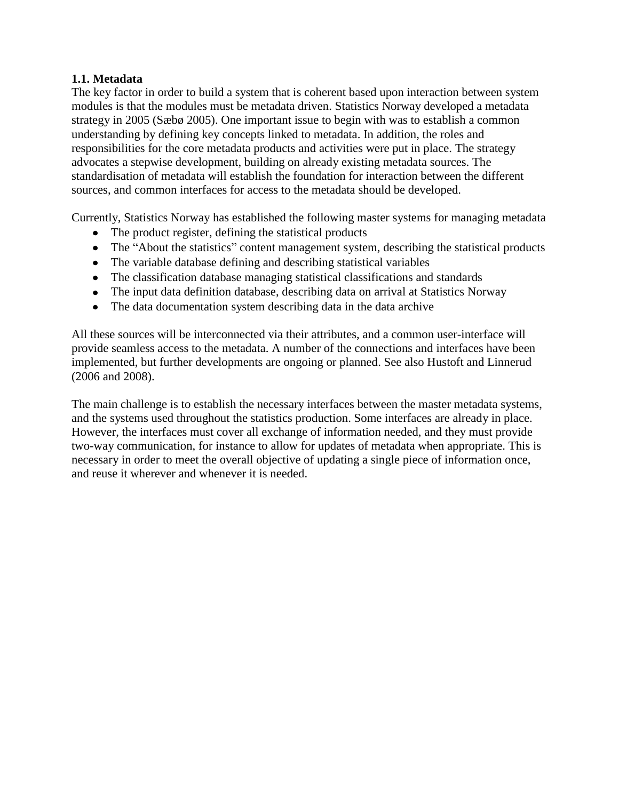### **1.1. Metadata**

The key factor in order to build a system that is coherent based upon interaction between system modules is that the modules must be metadata driven. Statistics Norway developed a metadata strategy in 2005 (Sæbø 2005). One important issue to begin with was to establish a common understanding by defining key concepts linked to metadata. In addition, the roles and responsibilities for the core metadata products and activities were put in place. The strategy advocates a stepwise development, building on already existing metadata sources. The standardisation of metadata will establish the foundation for interaction between the different sources, and common interfaces for access to the metadata should be developed.

Currently, Statistics Norway has established the following master systems for managing metadata

- The product register, defining the statistical products
- The "About the statistics" content management system, describing the statistical products
- The variable database defining and describing statistical variables
- The classification database managing statistical classifications and standards
- The input data definition database, describing data on arrival at Statistics Norway
- The data documentation system describing data in the data archive

All these sources will be interconnected via their attributes, and a common user-interface will provide seamless access to the metadata. A number of the connections and interfaces have been implemented, but further developments are ongoing or planned. See also Hustoft and Linnerud (2006 and 2008).

The main challenge is to establish the necessary interfaces between the master metadata systems, and the systems used throughout the statistics production. Some interfaces are already in place. However, the interfaces must cover all exchange of information needed, and they must provide two-way communication, for instance to allow for updates of metadata when appropriate. This is necessary in order to meet the overall objective of updating a single piece of information once, and reuse it wherever and whenever it is needed.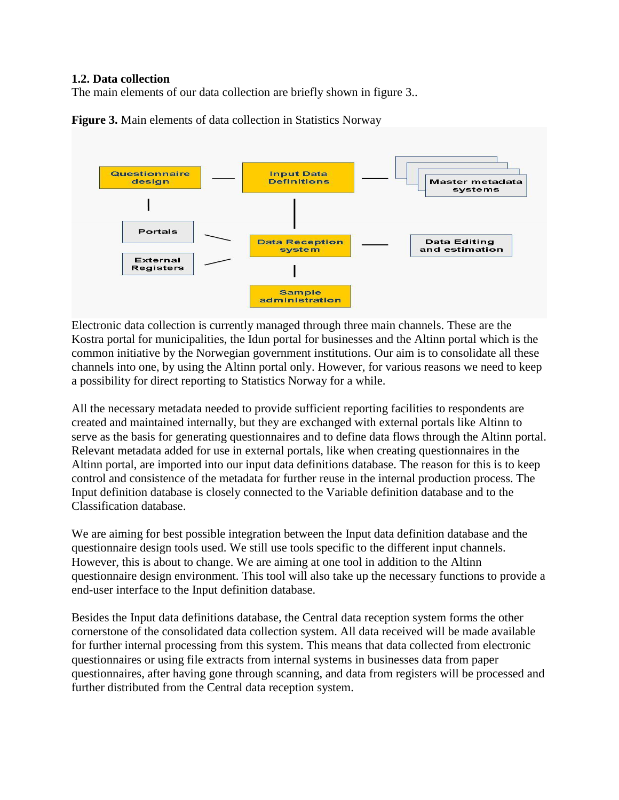#### **1.2. Data collection**

The main elements of our data collection are briefly shown in figure 3..



**Figure 3.** Main elements of data collection in Statistics Norway

Electronic data collection is currently managed through three main channels. These are the Kostra portal for municipalities, the Idun portal for businesses and the Altinn portal which is the common initiative by the Norwegian government institutions. Our aim is to consolidate all these channels into one, by using the Altinn portal only. However, for various reasons we need to keep a possibility for direct reporting to Statistics Norway for a while.

All the necessary metadata needed to provide sufficient reporting facilities to respondents are created and maintained internally, but they are exchanged with external portals like Altinn to serve as the basis for generating questionnaires and to define data flows through the Altinn portal. Relevant metadata added for use in external portals, like when creating questionnaires in the Altinn portal, are imported into our input data definitions database. The reason for this is to keep control and consistence of the metadata for further reuse in the internal production process. The Input definition database is closely connected to the Variable definition database and to the Classification database.

We are aiming for best possible integration between the Input data definition database and the questionnaire design tools used. We still use tools specific to the different input channels. However, this is about to change. We are aiming at one tool in addition to the Altinn questionnaire design environment. This tool will also take up the necessary functions to provide a end-user interface to the Input definition database.

Besides the Input data definitions database, the Central data reception system forms the other cornerstone of the consolidated data collection system. All data received will be made available for further internal processing from this system. This means that data collected from electronic questionnaires or using file extracts from internal systems in businesses data from paper questionnaires, after having gone through scanning, and data from registers will be processed and further distributed from the Central data reception system.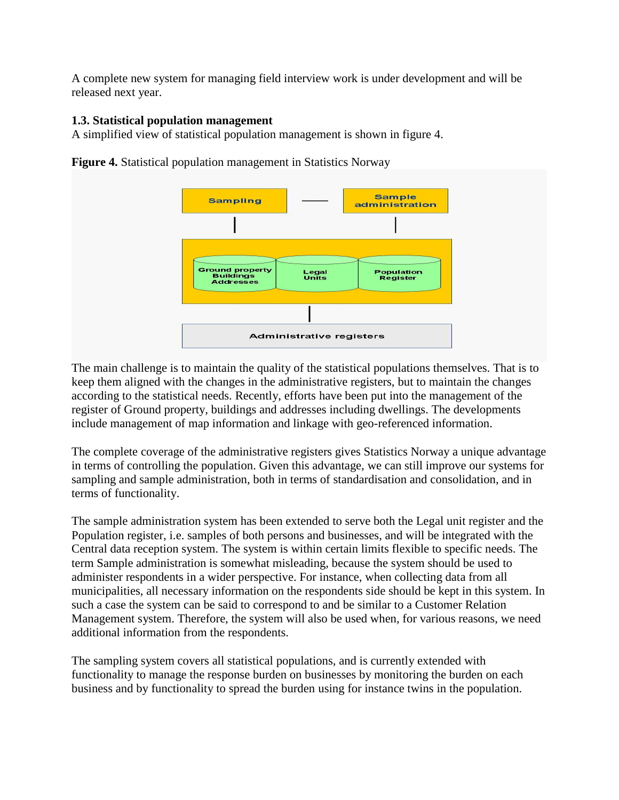A complete new system for managing field interview work is under development and will be released next year.

## **1.3. Statistical population management**

A simplified view of statistical population management is shown in figure 4.



**Figure 4.** Statistical population management in Statistics Norway

The main challenge is to maintain the quality of the statistical populations themselves. That is to keep them aligned with the changes in the administrative registers, but to maintain the changes according to the statistical needs. Recently, efforts have been put into the management of the register of Ground property, buildings and addresses including dwellings. The developments include management of map information and linkage with geo-referenced information.

The complete coverage of the administrative registers gives Statistics Norway a unique advantage in terms of controlling the population. Given this advantage, we can still improve our systems for sampling and sample administration, both in terms of standardisation and consolidation, and in terms of functionality.

The sample administration system has been extended to serve both the Legal unit register and the Population register, i.e. samples of both persons and businesses, and will be integrated with the Central data reception system. The system is within certain limits flexible to specific needs. The term Sample administration is somewhat misleading, because the system should be used to administer respondents in a wider perspective. For instance, when collecting data from all municipalities, all necessary information on the respondents side should be kept in this system. In such a case the system can be said to correspond to and be similar to a Customer Relation Management system. Therefore, the system will also be used when, for various reasons, we need additional information from the respondents.

The sampling system covers all statistical populations, and is currently extended with functionality to manage the response burden on businesses by monitoring the burden on each business and by functionality to spread the burden using for instance twins in the population.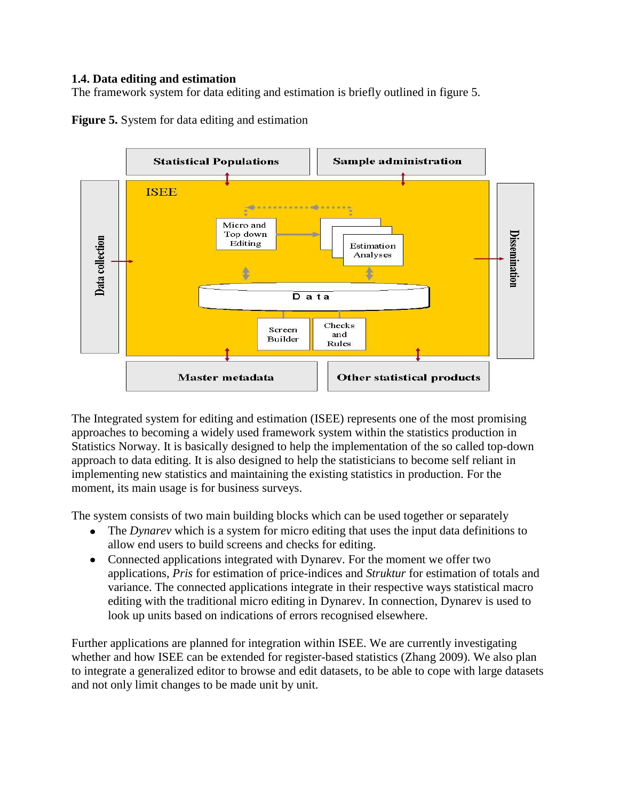#### **1.4. Data editing and estimation**

The framework system for data editing and estimation is briefly outlined in figure 5.



**Figure 5.** System for data editing and estimation

The Integrated system for editing and estimation (ISEE) represents one of the most promising approaches to becoming a widely used framework system within the statistics production in Statistics Norway. It is basically designed to help the implementation of the so called top-down approach to data editing. It is also designed to help the statisticians to become self reliant in implementing new statistics and maintaining the existing statistics in production. For the moment, its main usage is for business surveys.

The system consists of two main building blocks which can be used together or separately

- The *Dynarev* which is a system for micro editing that uses the input data definitions to allow end users to build screens and checks for editing.
- Connected applications integrated with Dynarev. For the moment we offer two applications, *Pris* for estimation of price-indices and *Struktur* for estimation of totals and variance. The connected applications integrate in their respective ways statistical macro editing with the traditional micro editing in Dynarev. In connection, Dynarev is used to look up units based on indications of errors recognised elsewhere.

Further applications are planned for integration within ISEE. We are currently investigating whether and how ISEE can be extended for register-based statistics (Zhang 2009). We also plan to integrate a generalized editor to browse and edit datasets, to be able to cope with large datasets and not only limit changes to be made unit by unit.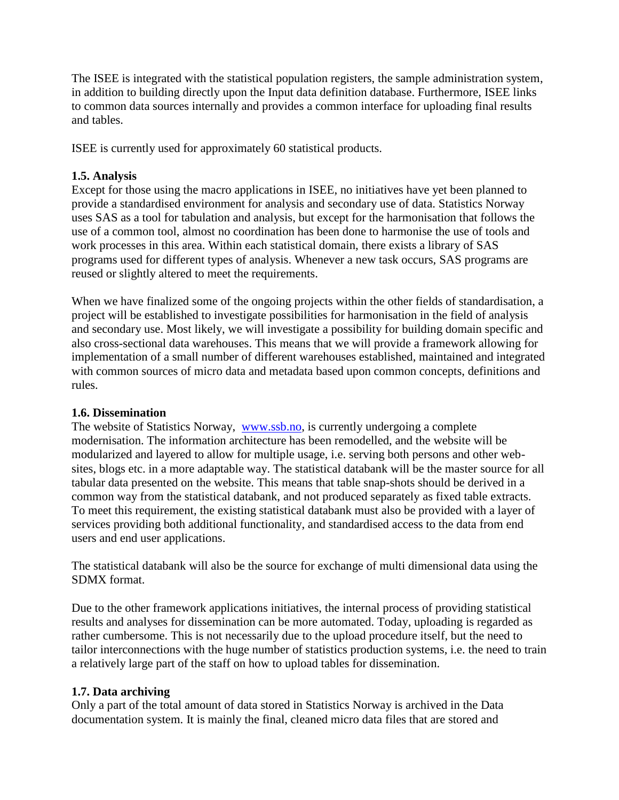The ISEE is integrated with the statistical population registers, the sample administration system, in addition to building directly upon the Input data definition database. Furthermore, ISEE links to common data sources internally and provides a common interface for uploading final results and tables.

ISEE is currently used for approximately 60 statistical products.

### **1.5. Analysis**

Except for those using the macro applications in ISEE, no initiatives have yet been planned to provide a standardised environment for analysis and secondary use of data. Statistics Norway uses SAS as a tool for tabulation and analysis, but except for the harmonisation that follows the use of a common tool, almost no coordination has been done to harmonise the use of tools and work processes in this area. Within each statistical domain, there exists a library of SAS programs used for different types of analysis. Whenever a new task occurs, SAS programs are reused or slightly altered to meet the requirements.

When we have finalized some of the ongoing projects within the other fields of standardisation, a project will be established to investigate possibilities for harmonisation in the field of analysis and secondary use. Most likely, we will investigate a possibility for building domain specific and also cross-sectional data warehouses. This means that we will provide a framework allowing for implementation of a small number of different warehouses established, maintained and integrated with common sources of micro data and metadata based upon common concepts, definitions and rules.

#### **1.6. Dissemination**

The website of Statistics Norway, [www.ssb.no,](http://www.ssb.no/) is currently undergoing a complete modernisation. The information architecture has been remodelled, and the website will be modularized and layered to allow for multiple usage, i.e. serving both persons and other websites, blogs etc. in a more adaptable way. The statistical databank will be the master source for all tabular data presented on the website. This means that table snap-shots should be derived in a common way from the statistical databank, and not produced separately as fixed table extracts. To meet this requirement, the existing statistical databank must also be provided with a layer of services providing both additional functionality, and standardised access to the data from end users and end user applications.

The statistical databank will also be the source for exchange of multi dimensional data using the SDMX format.

Due to the other framework applications initiatives, the internal process of providing statistical results and analyses for dissemination can be more automated. Today, uploading is regarded as rather cumbersome. This is not necessarily due to the upload procedure itself, but the need to tailor interconnections with the huge number of statistics production systems, i.e. the need to train a relatively large part of the staff on how to upload tables for dissemination.

### **1.7. Data archiving**

Only a part of the total amount of data stored in Statistics Norway is archived in the Data documentation system. It is mainly the final, cleaned micro data files that are stored and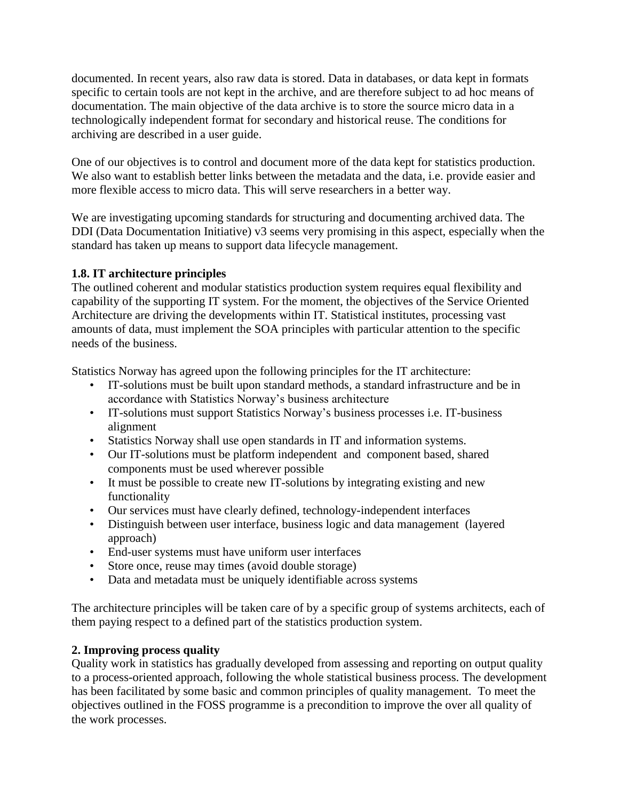documented. In recent years, also raw data is stored. Data in databases, or data kept in formats specific to certain tools are not kept in the archive, and are therefore subject to ad hoc means of documentation. The main objective of the data archive is to store the source micro data in a technologically independent format for secondary and historical reuse. The conditions for archiving are described in a user guide.

One of our objectives is to control and document more of the data kept for statistics production. We also want to establish better links between the metadata and the data, i.e. provide easier and more flexible access to micro data. This will serve researchers in a better way.

We are investigating upcoming standards for structuring and documenting archived data. The DDI (Data Documentation Initiative) v3 seems very promising in this aspect, especially when the standard has taken up means to support data lifecycle management.

## **1.8. IT architecture principles**

The outlined coherent and modular statistics production system requires equal flexibility and capability of the supporting IT system. For the moment, the objectives of the Service Oriented Architecture are driving the developments within IT. Statistical institutes, processing vast amounts of data, must implement the SOA principles with particular attention to the specific needs of the business.

Statistics Norway has agreed upon the following principles for the IT architecture:

- IT-solutions must be built upon standard methods, a standard infrastructure and be in accordance with Statistics Norway's business architecture
- IT-solutions must support Statistics Norway's business processes i.e. IT-business alignment
- Statistics Norway shall use open standards in IT and information systems.
- Our IT-solutions must be platform independent and component based, shared components must be used wherever possible
- It must be possible to create new IT-solutions by integrating existing and new functionality
- Our services must have clearly defined, technology-independent interfaces
- Distinguish between user interface, business logic and data management (layered approach)
- End-user systems must have uniform user interfaces
- Store once, reuse may times (avoid double storage)
- Data and metadata must be uniquely identifiable across systems

The architecture principles will be taken care of by a specific group of systems architects, each of them paying respect to a defined part of the statistics production system.

## **2. Improving process quality**

Quality work in statistics has gradually developed from assessing and reporting on output quality to a process-oriented approach, following the whole statistical business process. The development has been facilitated by some basic and common principles of quality management. To meet the objectives outlined in the FOSS programme is a precondition to improve the over all quality of the work processes.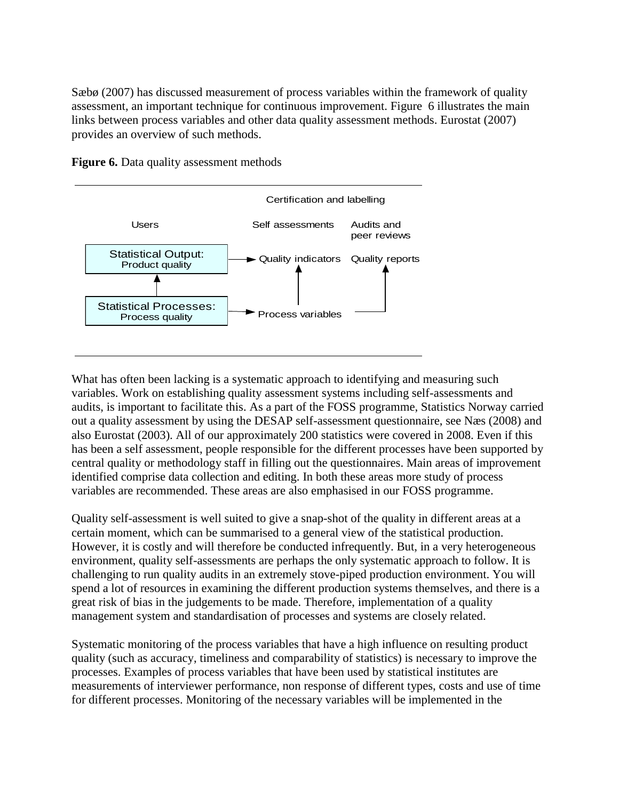Sæbø (2007) has discussed measurement of process variables within the framework of quality assessment, an important technique for continuous improvement. Figure 6 illustrates the main links between process variables and other data quality assessment methods. Eurostat (2007) provides an overview of such methods.



**Figure 6.** Data quality assessment methods

What has often been lacking is a systematic approach to identifying and measuring such variables. Work on establishing quality assessment systems including self-assessments and audits, is important to facilitate this. As a part of the FOSS programme, Statistics Norway carried out a quality assessment by using the DESAP self-assessment questionnaire, see Næs (2008) and also Eurostat (2003). All of our approximately 200 statistics were covered in 2008. Even if this has been a self assessment, people responsible for the different processes have been supported by central quality or methodology staff in filling out the questionnaires. Main areas of improvement identified comprise data collection and editing. In both these areas more study of process variables are recommended. These areas are also emphasised in our FOSS programme.

Quality self-assessment is well suited to give a snap-shot of the quality in different areas at a certain moment, which can be summarised to a general view of the statistical production. However, it is costly and will therefore be conducted infrequently. But, in a very heterogeneous environment, quality self-assessments are perhaps the only systematic approach to follow. It is challenging to run quality audits in an extremely stove-piped production environment. You will spend a lot of resources in examining the different production systems themselves, and there is a great risk of bias in the judgements to be made. Therefore, implementation of a quality management system and standardisation of processes and systems are closely related.

Systematic monitoring of the process variables that have a high influence on resulting product quality (such as accuracy, timeliness and comparability of statistics) is necessary to improve the processes. Examples of process variables that have been used by statistical institutes are measurements of interviewer performance, non response of different types, costs and use of time for different processes. Monitoring of the necessary variables will be implemented in the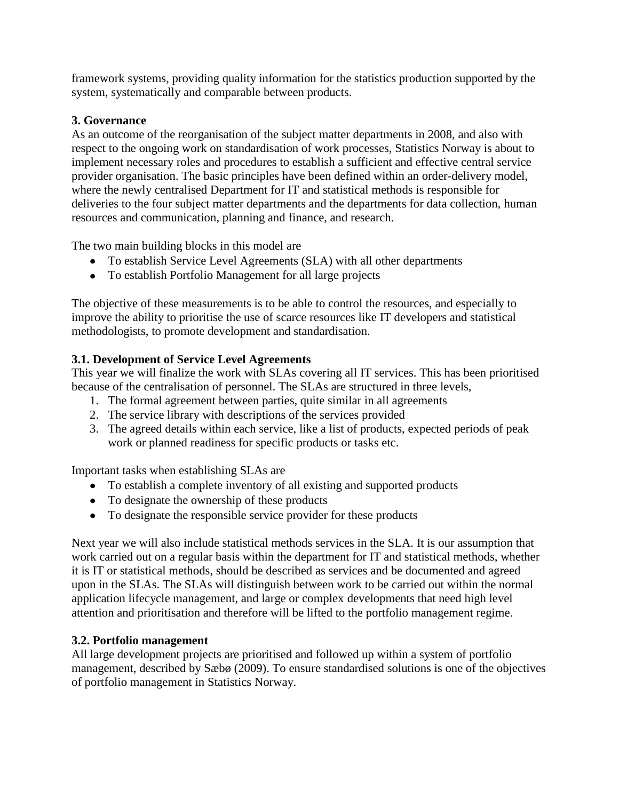framework systems, providing quality information for the statistics production supported by the system, systematically and comparable between products.

## **3. Governance**

As an outcome of the reorganisation of the subject matter departments in 2008, and also with respect to the ongoing work on standardisation of work processes, Statistics Norway is about to implement necessary roles and procedures to establish a sufficient and effective central service provider organisation. The basic principles have been defined within an order-delivery model, where the newly centralised Department for IT and statistical methods is responsible for deliveries to the four subject matter departments and the departments for data collection, human resources and communication, planning and finance, and research.

The two main building blocks in this model are

- To establish Service Level Agreements (SLA) with all other departments
- To establish Portfolio Management for all large projects

The objective of these measurements is to be able to control the resources, and especially to improve the ability to prioritise the use of scarce resources like IT developers and statistical methodologists, to promote development and standardisation.

## **3.1. Development of Service Level Agreements**

This year we will finalize the work with SLAs covering all IT services. This has been prioritised because of the centralisation of personnel. The SLAs are structured in three levels,

- 1. The formal agreement between parties, quite similar in all agreements
- 2. The service library with descriptions of the services provided
- 3. The agreed details within each service, like a list of products, expected periods of peak work or planned readiness for specific products or tasks etc.

Important tasks when establishing SLAs are

- To establish a complete inventory of all existing and supported products
- To designate the ownership of these products
- To designate the responsible service provider for these products

Next year we will also include statistical methods services in the SLA. It is our assumption that work carried out on a regular basis within the department for IT and statistical methods, whether it is IT or statistical methods, should be described as services and be documented and agreed upon in the SLAs. The SLAs will distinguish between work to be carried out within the normal application lifecycle management, and large or complex developments that need high level attention and prioritisation and therefore will be lifted to the portfolio management regime.

### **3.2. Portfolio management**

All large development projects are prioritised and followed up within a system of portfolio management, described by Sæbø (2009). To ensure standardised solutions is one of the objectives of portfolio management in Statistics Norway.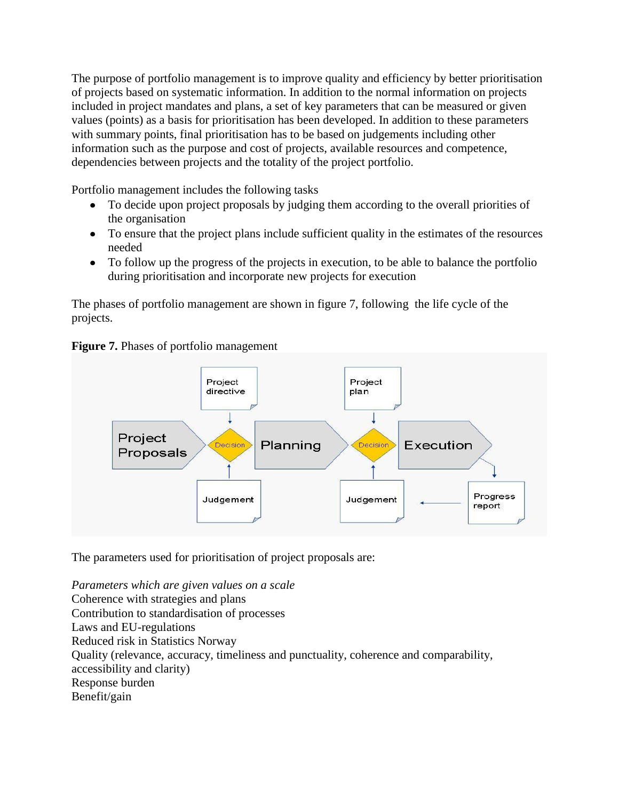The purpose of portfolio management is to improve quality and efficiency by better prioritisation of projects based on systematic information. In addition to the normal information on projects included in project mandates and plans, a set of key parameters that can be measured or given values (points) as a basis for prioritisation has been developed. In addition to these parameters with summary points, final prioritisation has to be based on judgements including other information such as the purpose and cost of projects, available resources and competence, dependencies between projects and the totality of the project portfolio.

Portfolio management includes the following tasks

- To decide upon project proposals by judging them according to the overall priorities of the organisation
- To ensure that the project plans include sufficient quality in the estimates of the resources needed
- To follow up the progress of the projects in execution, to be able to balance the portfolio during prioritisation and incorporate new projects for execution

The phases of portfolio management are shown in figure 7, following the life cycle of the projects.



**Figure 7.** Phases of portfolio management

The parameters used for prioritisation of project proposals are:

*Parameters which are given values on a scale* Coherence with strategies and plans Contribution to standardisation of processes Laws and EU-regulations Reduced risk in Statistics Norway Quality (relevance, accuracy, timeliness and punctuality, coherence and comparability, accessibility and clarity) Response burden Benefit/gain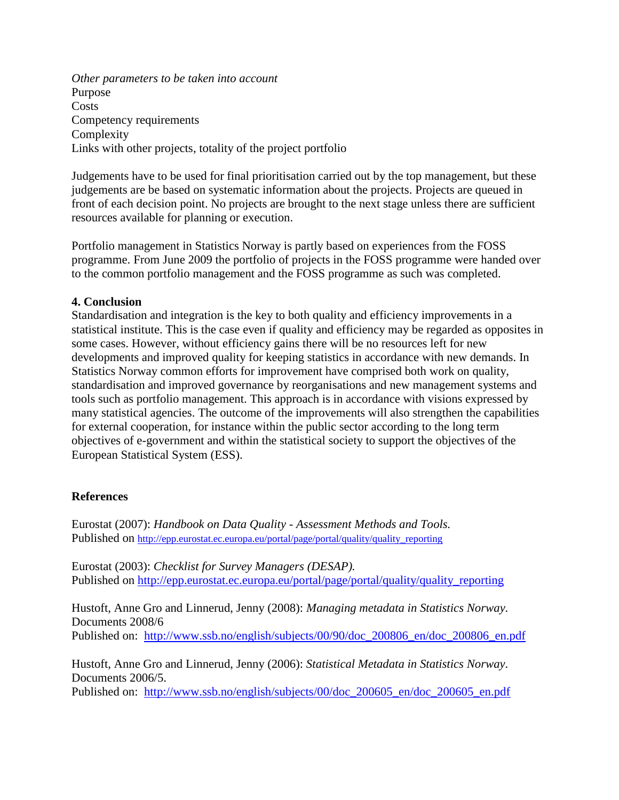*Other parameters to be taken into account* Purpose Costs Competency requirements Complexity Links with other projects, totality of the project portfolio

Judgements have to be used for final prioritisation carried out by the top management, but these judgements are be based on systematic information about the projects. Projects are queued in front of each decision point. No projects are brought to the next stage unless there are sufficient resources available for planning or execution.

Portfolio management in Statistics Norway is partly based on experiences from the FOSS programme. From June 2009 the portfolio of projects in the FOSS programme were handed over to the common portfolio management and the FOSS programme as such was completed.

#### **4. Conclusion**

Standardisation and integration is the key to both quality and efficiency improvements in a statistical institute. This is the case even if quality and efficiency may be regarded as opposites in some cases. However, without efficiency gains there will be no resources left for new developments and improved quality for keeping statistics in accordance with new demands. In Statistics Norway common efforts for improvement have comprised both work on quality, standardisation and improved governance by reorganisations and new management systems and tools such as portfolio management. This approach is in accordance with visions expressed by many statistical agencies. The outcome of the improvements will also strengthen the capabilities for external cooperation, for instance within the public sector according to the long term objectives of e-government and within the statistical society to support the objectives of the European Statistical System (ESS).

#### **References**

Eurostat (2007): *Handbook on Data Quality - [Assessment Methods and Tools.](http://epp.eurostat.ec.europa.eu/portal/page/portal/quality/documents/HANDBOOK%20ON%20DATA%20QUALITY%20ASSESSMENT%20METHODS%20AND%20TOOLS%20%20I.pdf)*  Published on http://epp.eurostat.ec.europa.eu/portal/page/portal/quality/quality reporting

Eurostat (2003): *Checklist for Survey Managers (DESAP).* Published on [http://epp.eurostat.ec.europa.eu/portal/page/portal/quality/quality\\_reporting](http://epp.eurostat.ec.europa.eu/portal/page/portal/quality/quality_reporting)

Hustoft, Anne Gro and Linnerud, Jenny (2008): *Managing metadata in Statistics Norway.* Documents 2008/6

Published on: [http://www.ssb.no/english/subjects/00/90/doc\\_200806\\_en/doc\\_200806\\_en.pdf](http://www.ssb.no/english/subjects/00/90/doc_200806_en/doc_200806_en.pdf)

Hustoft, Anne Gro and Linnerud, Jenny (2006): *Statistical Metadata in Statistics Norway.* Documents 2006/5.

Published on: [http://www.ssb.no/english/subjects/00/doc\\_200605\\_en/doc\\_200605\\_en.pdf](http://www.ssb.no/english/subjects/00/doc_200605_en/doc_200605_en.pdf)